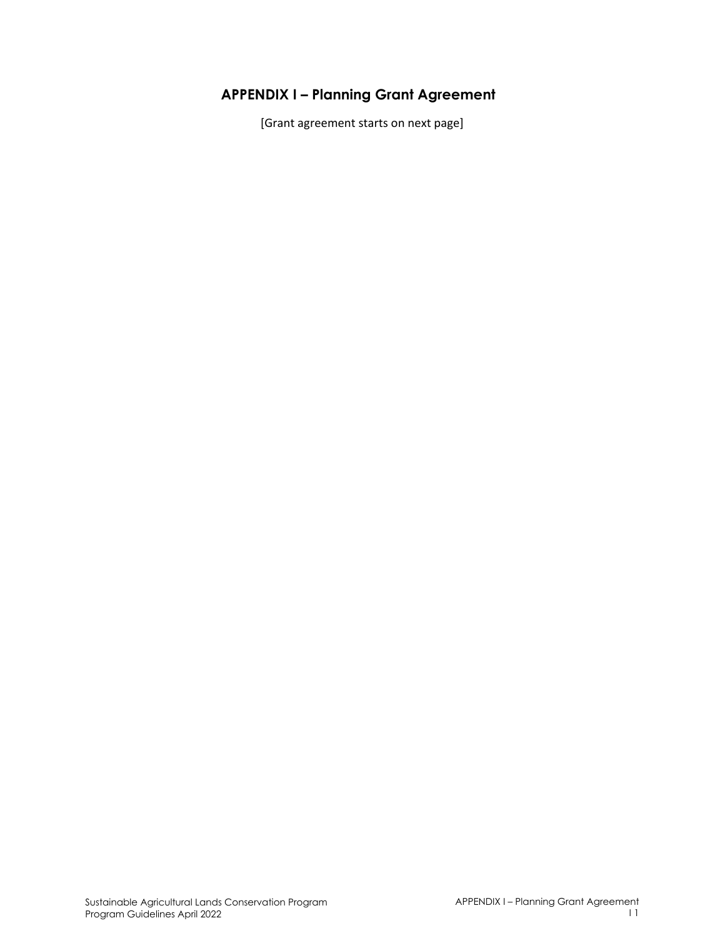# **APPENDIX I – Planning Grant Agreement**

[Grant agreement starts on next page]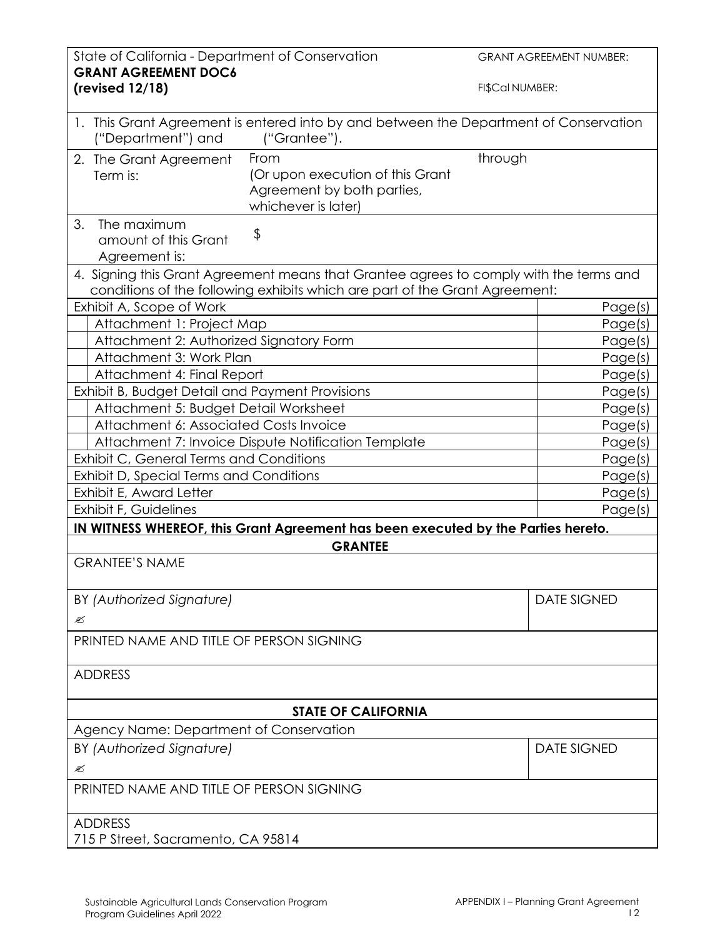| State of California - Department of Conservation<br><b>GRANT AGREEMENT DOC6</b> |                                                                                                                                                                       |                 | <b>GRANT AGREEMENT NUMBER:</b> |
|---------------------------------------------------------------------------------|-----------------------------------------------------------------------------------------------------------------------------------------------------------------------|-----------------|--------------------------------|
| (revised 12/18)                                                                 |                                                                                                                                                                       | FI\$Cal NUMBER: |                                |
| ("Department") and                                                              | 1. This Grant Agreement is entered into by and between the Department of Conservation<br>("Grantee").                                                                 |                 |                                |
| 2. The Grant Agreement<br>Term is:                                              | From<br>(Or upon execution of this Grant<br>Agreement by both parties,<br>whichever is later)                                                                         | through         |                                |
| 3.<br>The maximum<br>amount of this Grant<br>Agreement is:                      | \$                                                                                                                                                                    |                 |                                |
|                                                                                 | 4. Signing this Grant Agreement means that Grantee agrees to comply with the terms and<br>conditions of the following exhibits which are part of the Grant Agreement: |                 |                                |
| Exhibit A, Scope of Work                                                        |                                                                                                                                                                       |                 | Page(s)                        |
| Attachment 1: Project Map                                                       |                                                                                                                                                                       |                 | Page(s)                        |
| Attachment 2: Authorized Signatory Form                                         |                                                                                                                                                                       |                 | Page(s)                        |
| Attachment 3: Work Plan                                                         |                                                                                                                                                                       |                 | Page(s)                        |
| Attachment 4: Final Report                                                      |                                                                                                                                                                       |                 | Page(s)                        |
| Exhibit B, Budget Detail and Payment Provisions                                 |                                                                                                                                                                       |                 | Page(s)                        |
| Attachment 5: Budget Detail Worksheet                                           |                                                                                                                                                                       |                 | Page(s)                        |
| Attachment 6: Associated Costs Invoice                                          |                                                                                                                                                                       |                 | Page(s)                        |
|                                                                                 |                                                                                                                                                                       |                 |                                |
| Attachment 7: Invoice Dispute Notification Template                             |                                                                                                                                                                       |                 | Page(s)                        |
| Exhibit C, General Terms and Conditions                                         |                                                                                                                                                                       |                 | Page(s)                        |
| Exhibit D, Special Terms and Conditions                                         |                                                                                                                                                                       |                 | Page(s)                        |
| Exhibit E, Award Letter                                                         |                                                                                                                                                                       | Page(s)         |                                |
| Exhibit F, Guidelines                                                           |                                                                                                                                                                       |                 | Page(s)                        |
|                                                                                 | IN WITNESS WHEREOF, this Grant Agreement has been executed by the Parties hereto.                                                                                     |                 |                                |
| <b>GRANTEE</b>                                                                  |                                                                                                                                                                       |                 |                                |
| <b>GRANTEE'S NAME</b>                                                           |                                                                                                                                                                       |                 |                                |
| BY (Authorized Signature)                                                       |                                                                                                                                                                       |                 | <b>DATE SIGNED</b>             |
| Ø                                                                               |                                                                                                                                                                       |                 |                                |
| PRINTED NAME AND TITLE OF PERSON SIGNING                                        |                                                                                                                                                                       |                 |                                |
| <b>ADDRESS</b>                                                                  |                                                                                                                                                                       |                 |                                |
|                                                                                 | <b>STATE OF CALIFORNIA</b>                                                                                                                                            |                 |                                |
| Agency Name: Department of Conservation                                         |                                                                                                                                                                       |                 |                                |
| BY (Authorized Signature)                                                       |                                                                                                                                                                       |                 | <b>DATE SIGNED</b>             |
| ≤                                                                               |                                                                                                                                                                       |                 |                                |
| PRINTED NAME AND TITLE OF PERSON SIGNING                                        |                                                                                                                                                                       |                 |                                |
|                                                                                 |                                                                                                                                                                       |                 |                                |
| <b>ADDRESS</b>                                                                  |                                                                                                                                                                       |                 |                                |
| 715 P Street, Sacramento, CA 95814                                              |                                                                                                                                                                       |                 |                                |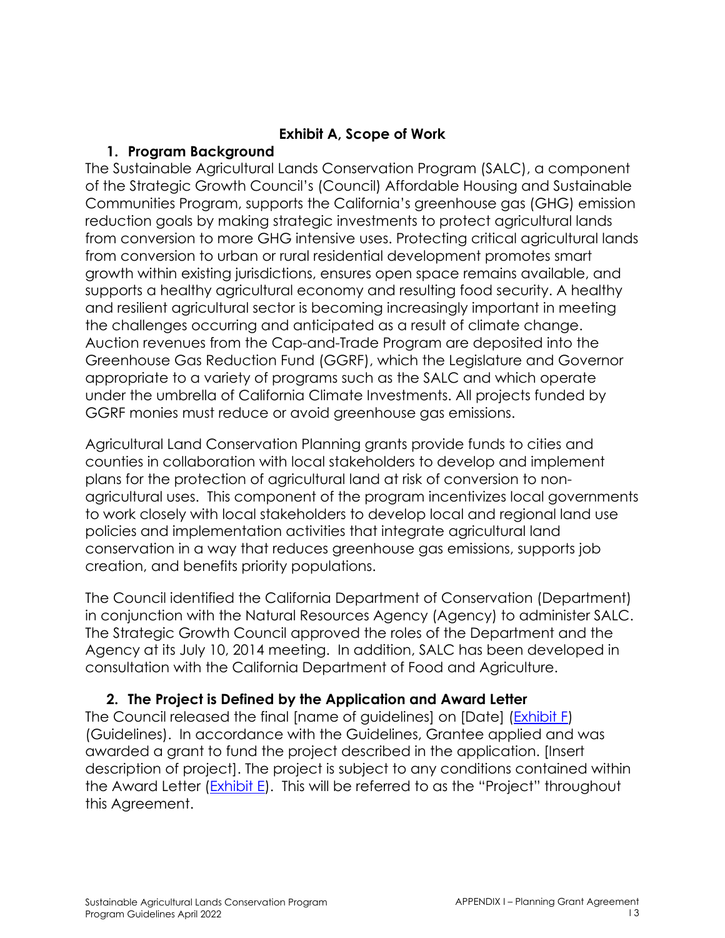### **Exhibit A, Scope of Work**

### **1. Program Background**

The Sustainable Agricultural Lands Conservation Program (SALC), a component of the Strategic Growth Council's (Council) Affordable Housing and Sustainable Communities Program, supports the California's greenhouse gas (GHG) emission reduction goals by making strategic investments to protect agricultural lands from conversion to more GHG intensive uses. Protecting critical agricultural lands from conversion to urban or rural residential development promotes smart growth within existing jurisdictions, ensures open space remains available, and supports a healthy agricultural economy and resulting food security. A healthy and resilient agricultural sector is becoming increasingly important in meeting the challenges occurring and anticipated as a result of climate change. Auction revenues from the Cap-and-Trade Program are deposited into the Greenhouse Gas Reduction Fund (GGRF), which the Legislature and Governor appropriate to a variety of programs such as the SALC and which operate under the umbrella of California Climate Investments. All projects funded by GGRF monies must reduce or avoid greenhouse gas emissions.

Agricultural Land Conservation Planning grants provide funds to cities and counties in collaboration with local stakeholders to develop and implement plans for the protection of agricultural land at risk of conversion to nonagricultural uses. This component of the program incentivizes local governments to work closely with local stakeholders to develop local and regional land use policies and implementation activities that integrate agricultural land conservation in a way that reduces greenhouse gas emissions, supports job creation, and benefits priority populations.

The Council identified the California Department of Conservation (Department) in conjunction with the Natural Resources Agency (Agency) to administer SALC. The Strategic Growth Council approved the roles of the Department and the Agency at its July 10, 2014 meeting. In addition, SALC has been developed in consultation with the California Department of Food and Agriculture.

## **2. The Project is Defined by the Application and Award Letter**

The Council released the final [name of guidelines] on [Date] (Exhibit F) (Guidelines). In accordance with the Guidelines, Grantee applied and was awarded a grant to fund the project described in the application. [Insert description of project]. The project is subject to any conditions contained within the Award Letter (Exhibit E). This will be referred to as the "Project" throughout this Agreement.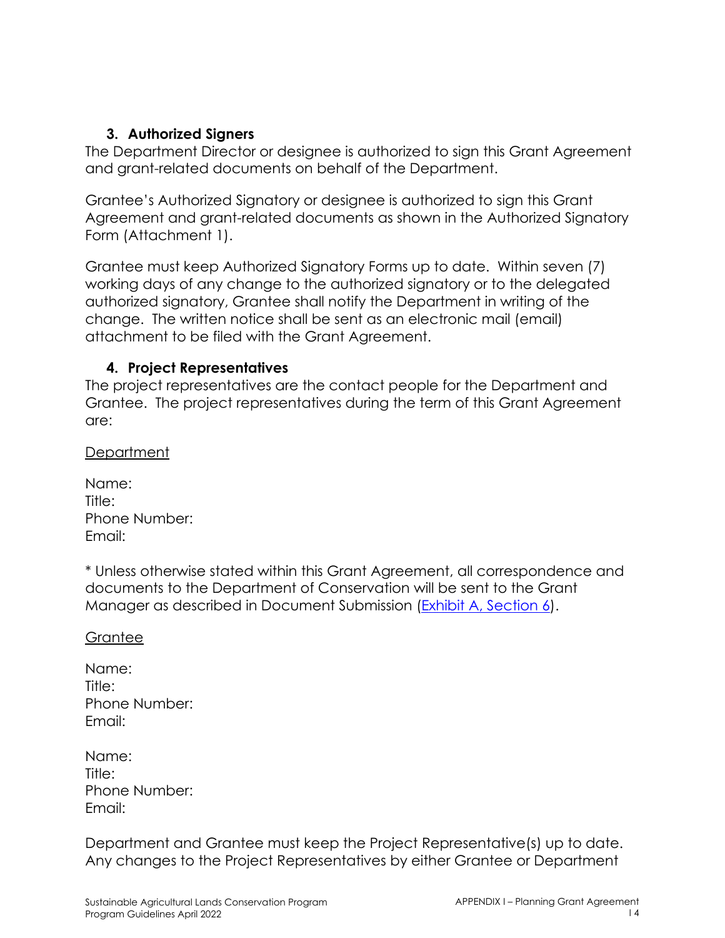### **3. Authorized Signers**

The Department Director or designee is authorized to sign this Grant Agreement and grant-related documents on behalf of the Department.

Grantee's Authorized Signatory or designee is authorized to sign this Grant Agreement and grant-related documents as shown in the Authorized Signatory Form (Attachment 1).

Grantee must keep Authorized Signatory Forms up to date. Within seven (7) working days of any change to the authorized signatory or to the delegated authorized signatory, Grantee shall notify the Department in writing of the change. The written notice shall be sent as an electronic mail (email) attachment to be filed with the Grant Agreement.

#### **4. Project Representatives**

The project representatives are the contact people for the Department and Grantee. The project representatives during the term of this Grant Agreement are:

Department

| Name:         |  |
|---------------|--|
| Title:        |  |
| Phone Number: |  |
| Email:        |  |

\* Unless otherwise stated within this Grant Agreement, all correspondence and documents to the Department of Conservation will be sent to the Grant Manager as described in Document Submission (Exhibit A, Section 6).

#### **Grantee**

| Name:         |
|---------------|
| Title:        |
| Phone Number: |
| Email:        |

| Name:  |               |
|--------|---------------|
| Title: |               |
|        | Phone Number: |
| Email: |               |

Department and Grantee must keep the Project Representative(s) up to date. Any changes to the Project Representatives by either Grantee or Department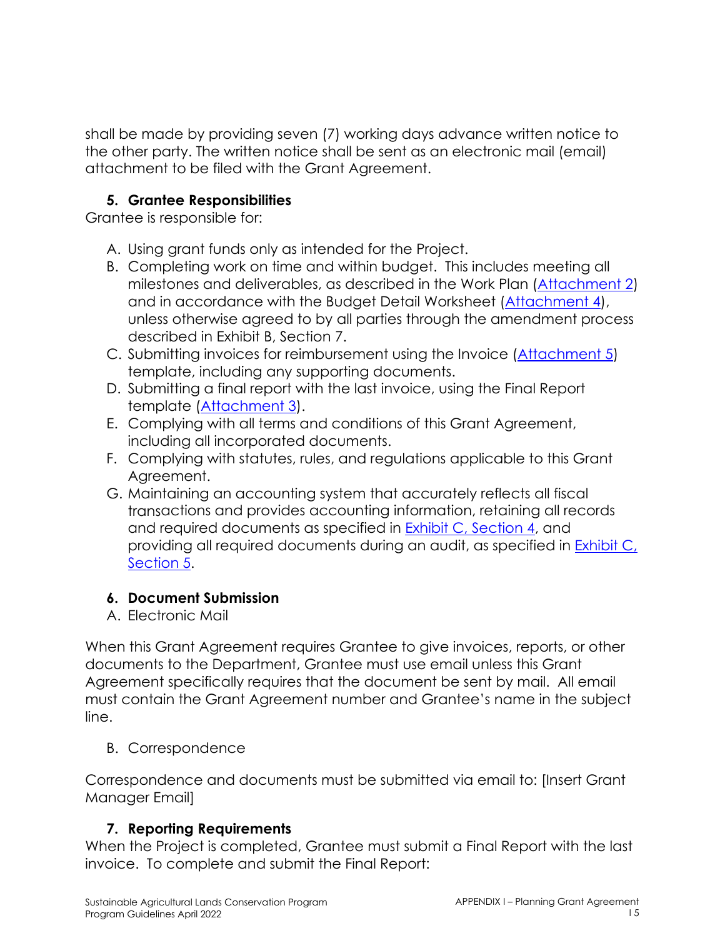shall be made by providing seven (7) working days advance written notice to the other party. The written notice shall be sent as an electronic mail (email) attachment to be filed with the Grant Agreement.

### **5. Grantee Responsibilities**

Grantee is responsible for:

- A. Using grant funds only as intended for the Project.
- B. Completing work on time and within budget. This includes meeting all milestones and deliverables, as described in the Work Plan (Attachment 2) and in accordance with the Budget Detail Worksheet (Attachment 4), unless otherwise agreed to by all parties through the amendment process described in Exhibit B, Section 7.
- C. Submitting invoices for reimbursement using the Invoice (Attachment 5) template, including any supporting documents.
- D. Submitting a final report with the last invoice, using the Final Report template (Attachment 3).
- E. Complying with all terms and conditions of this Grant Agreement, including all incorporated documents.
- F. Complying with statutes, rules, and regulations applicable to this Grant Agreement.
- G. Maintaining an accounting system that accurately reflects all fiscal transactions and provides accounting information, retaining all records and required documents as specified in Exhibit C, Section 4, and providing all required documents during an audit, as specified in **Exhibit C**, Section 5.

## **6. Document Submission**

A. Electronic Mail

When this Grant Agreement requires Grantee to give invoices, reports, or other documents to the Department, Grantee must use email unless this Grant Agreement specifically requires that the document be sent by mail. All email must contain the Grant Agreement number and Grantee's name in the subject line.

## B. Correspondence

Correspondence and documents must be submitted via email to: [Insert Grant Manager Email]

## **7. Reporting Requirements**

When the Project is completed, Grantee must submit a Final Report with the last invoice. To complete and submit the Final Report: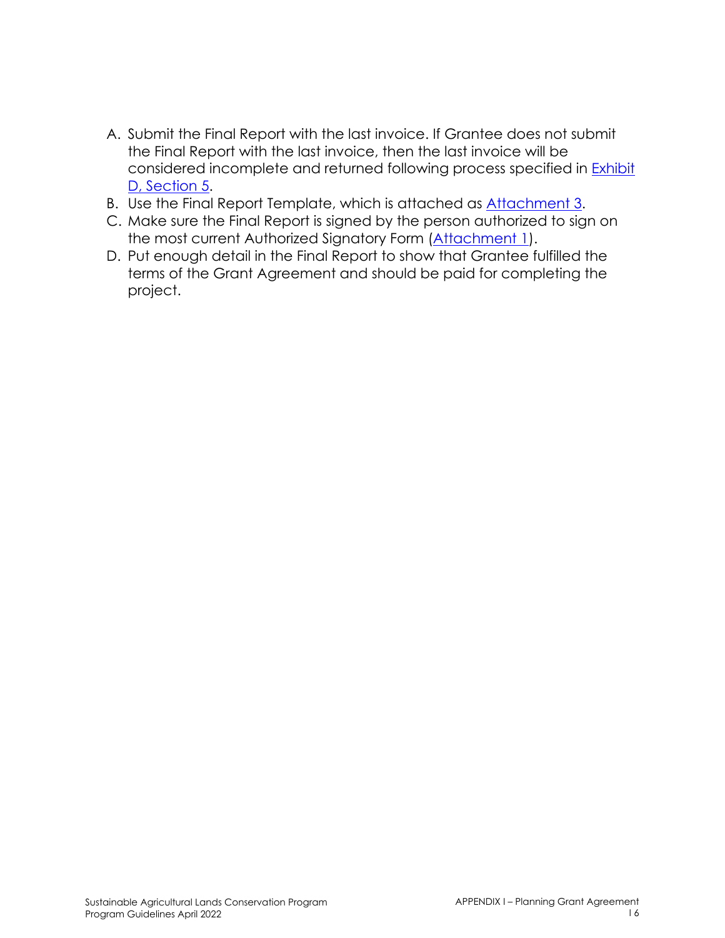- A. Submit the Final Report with the last invoice. If Grantee does not submit the Final Report with the last invoice, then the last invoice will be considered incomplete and returned following process specified in Exhibit D, Section 5.
- B. Use the Final Report Template, which is attached as Attachment 3.
- C. Make sure the Final Report is signed by the person authorized to sign on the most current Authorized Signatory Form (Attachment 1).
- D. Put enough detail in the Final Report to show that Grantee fulfilled the terms of the Grant Agreement and should be paid for completing the project.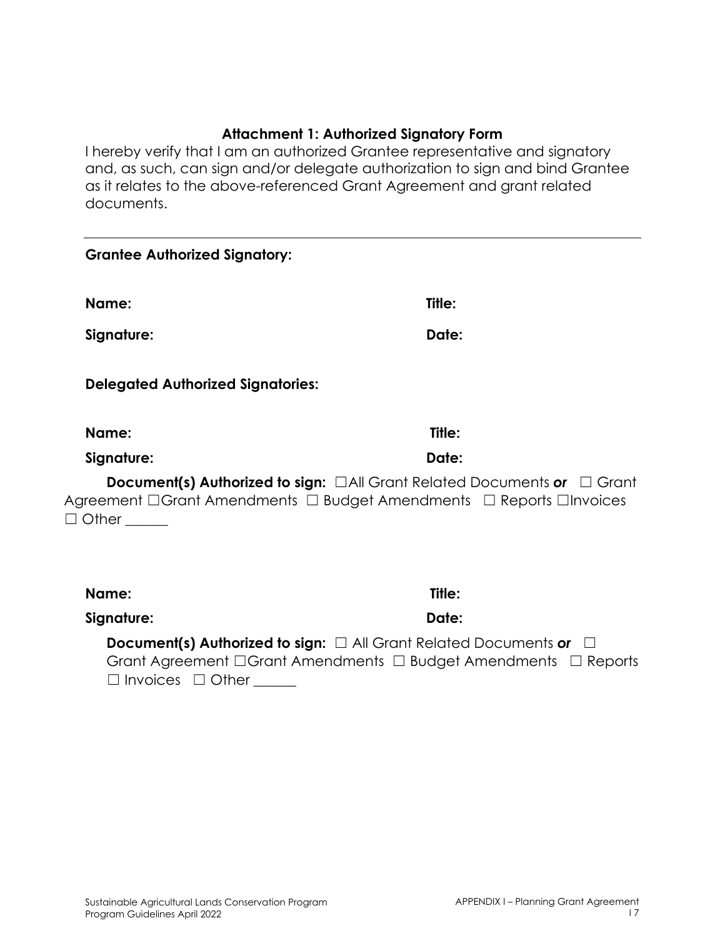#### **Attachment 1: Authorized Signatory Form**

I hereby verify that I am an authorized Grantee representative and signatory and, as such, can sign and/or delegate authorization to sign and bind Grantee as it relates to the above-referenced Grant Agreement and grant related documents.

| <b>Grantee Authorized Signatory:</b>     |                                                                                                                                                                  |
|------------------------------------------|------------------------------------------------------------------------------------------------------------------------------------------------------------------|
| Name:                                    | Title:                                                                                                                                                           |
| Signature:                               | Date:                                                                                                                                                            |
| <b>Delegated Authorized Signatories:</b> |                                                                                                                                                                  |
| Name:                                    | Title:                                                                                                                                                           |
| Signature:                               | Date:                                                                                                                                                            |
| $\Box$ Other                             | <b>Document(s) Authorized to sign:</b> $\Box$ All Grant Related Documents or $\Box$ Grant<br>Agreement □Grant Amendments □ Budget Amendments □ Reports □Invoices |
| Name:                                    | Title:                                                                                                                                                           |
| Signature:                               | Date:                                                                                                                                                            |

**Document(s) Authorized to sign:** □ All Grant Related Documents or □ Grant Agreement □Grant Amendments □ Budget Amendments □ Reports □ Invoices □ Other \_\_\_\_\_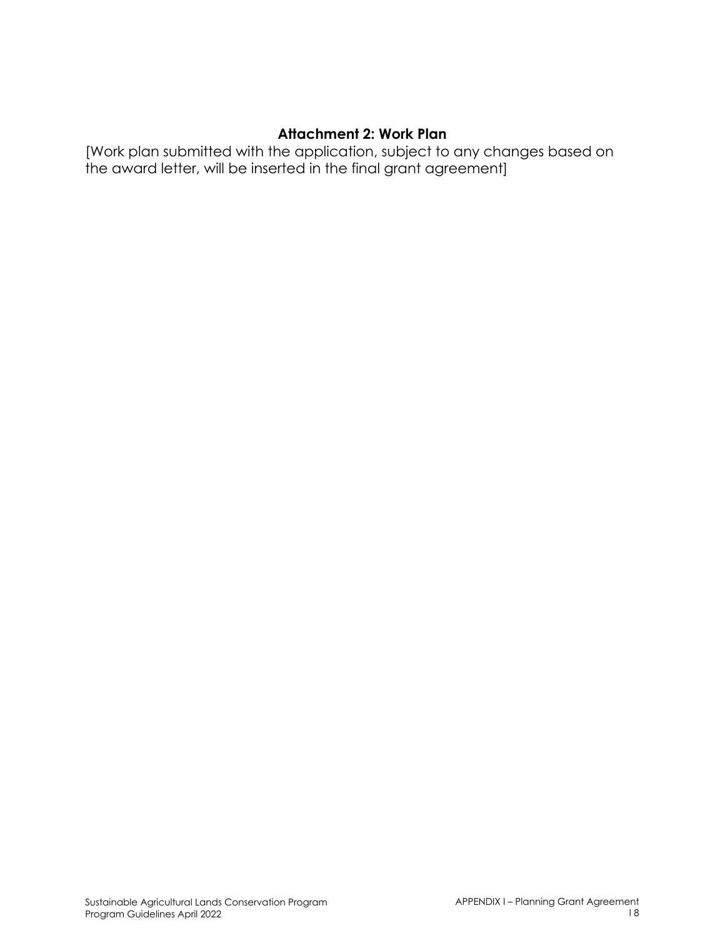#### **Attachment 2: Work Plan**

[Work plan submitted with the application, subject to any changes based on the award letter, will be inserted in the final grant agreement]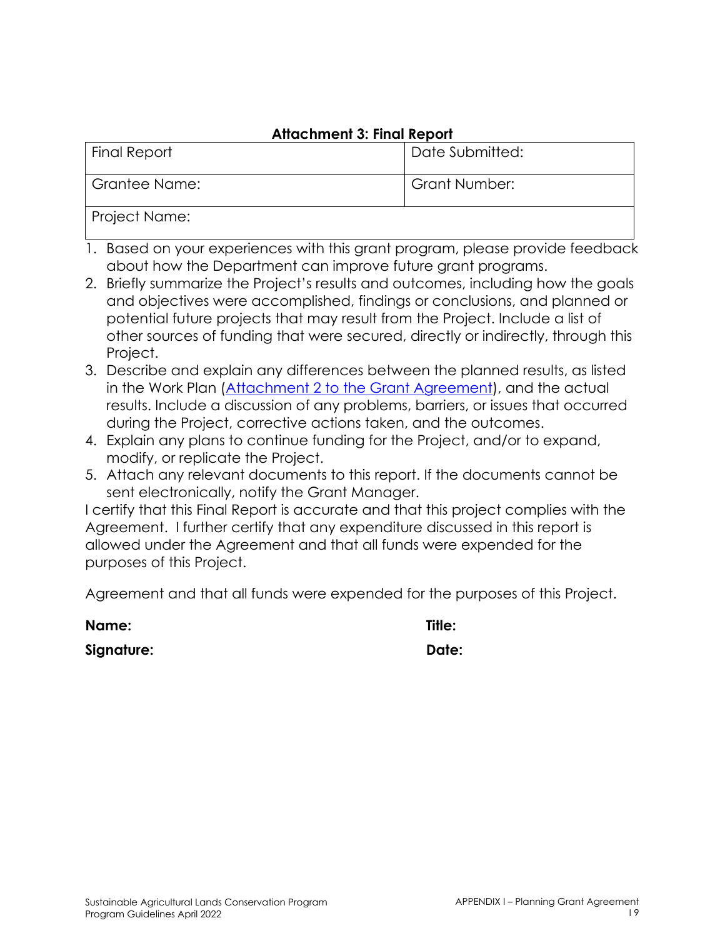### **Attachment 3: Final Report**

| <b>Final Report</b> | Date Submitted: |
|---------------------|-----------------|
| Grantee Name:       | Grant Number:   |
| Project Name:       |                 |

- 1. Based on your experiences with this grant program, please provide feedback about how the Department can improve future grant programs.
- 2. Briefly summarize the Project's results and outcomes, including how the goals and objectives were accomplished, findings or conclusions, and planned or potential future projects that may result from the Project. Include a list of other sources of funding that were secured, directly or indirectly, through this Project.
- 3. Describe and explain any differences between the planned results, as listed in the Work Plan (Attachment 2 to the Grant Agreement), and the actual results. Include a discussion of any problems, barriers, or issues that occurred during the Project, corrective actions taken, and the outcomes.
- 4. Explain any plans to continue funding for the Project, and/or to expand, modify, or replicate the Project.
- 5. Attach any relevant documents to this report. If the documents cannot be sent electronically, notify the Grant Manager.

I certify that this Final Report is accurate and that this project complies with the Agreement. I further certify that any expenditure discussed in this report is allowed under the Agreement and that all funds were expended for the purposes of this Project.

Agreement and that all funds were expended for the purposes of this Project.

| Name:      | Title: |
|------------|--------|
| Signature: | Date:  |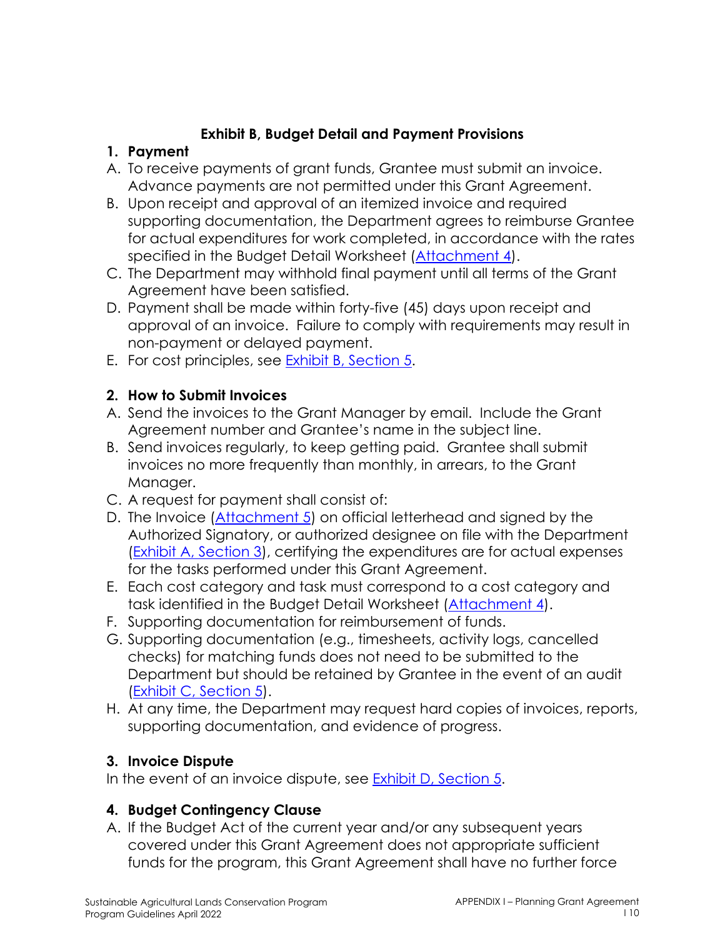## **Exhibit B, Budget Detail and Payment Provisions**

### **1. Payment**

- A. To receive payments of grant funds, Grantee must submit an invoice. Advance payments are not permitted under this Grant Agreement.
- B. Upon receipt and approval of an itemized invoice and required supporting documentation, the Department agrees to reimburse Grantee for actual expenditures for work completed, in accordance with the rates specified in the Budget Detail Worksheet (Attachment 4).
- C. The Department may withhold final payment until all terms of the Grant Agreement have been satisfied.
- D. Payment shall be made within forty-five (45) days upon receipt and approval of an invoice. Failure to comply with requirements may result in non-payment or delayed payment.
- E. For cost principles, see Exhibit B, Section 5.

## **2. How to Submit Invoices**

- A. Send the invoices to the Grant Manager by email. Include the Grant Agreement number and Grantee's name in the subject line.
- B. Send invoices regularly, to keep getting paid. Grantee shall submit invoices no more frequently than monthly, in arrears, to the Grant Manager.
- C. A request for payment shall consist of:
- D. The Invoice (Attachment 5) on official letterhead and signed by the Authorized Signatory, or authorized designee on file with the Department (Exhibit A, Section 3), certifying the expenditures are for actual expenses for the tasks performed under this Grant Agreement.
- E. Each cost category and task must correspond to a cost category and task identified in the Budget Detail Worksheet (Attachment 4).
- F. Supporting documentation for reimbursement of funds.
- G. Supporting documentation (e.g., timesheets, activity logs, cancelled checks) for matching funds does not need to be submitted to the Department but should be retained by Grantee in the event of an audit (Exhibit C, Section 5).
- H. At any time, the Department may request hard copies of invoices, reports, supporting documentation, and evidence of progress.

## **3. Invoice Dispute**

In the event of an invoice dispute, see **Exhibit D**, Section 5.

## **4. Budget Contingency Clause**

A. If the Budget Act of the current year and/or any subsequent years covered under this Grant Agreement does not appropriate sufficient funds for the program, this Grant Agreement shall have no further force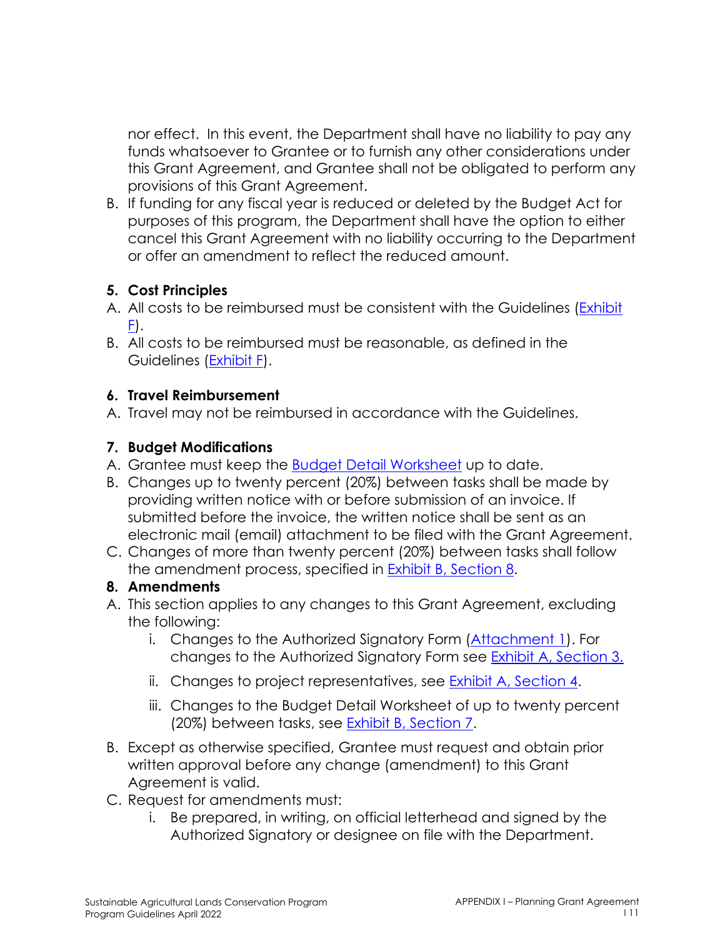nor effect. In this event, the Department shall have no liability to pay any funds whatsoever to Grantee or to furnish any other considerations under this Grant Agreement, and Grantee shall not be obligated to perform any provisions of this Grant Agreement.

B. If funding for any fiscal year is reduced or deleted by the Budget Act for purposes of this program, the Department shall have the option to either cancel this Grant Agreement with no liability occurring to the Department or offer an amendment to reflect the reduced amount.

## **5. Cost Principles**

- A. All costs to be reimbursed must be consistent with the Guidelines (Exhibit  $E$ ).
- B. All costs to be reimbursed must be reasonable, as defined in the Guidelines (Exhibit F).

### **6. Travel Reimbursement**

A. Travel may not be reimbursed in accordance with the Guidelines.

## **7. Budget Modifications**

- A. Grantee must keep the Budget Detail Worksheet up to date.
- B. Changes up to twenty percent (20%) between tasks shall be made by providing written notice with or before submission of an invoice. If submitted before the invoice, the written notice shall be sent as an electronic mail (email) attachment to be filed with the Grant Agreement.
- C. Changes of more than twenty percent (20%) between tasks shall follow the amendment process, specified in **Exhibit B**, Section 8.

### **8. Amendments**

- A. This section applies to any changes to this Grant Agreement, excluding the following:
	- i. Changes to the Authorized Signatory Form (Attachment 1). For changes to the Authorized Signatory Form see Exhibit A, Section 3.
	- ii. Changes to project representatives, see Exhibit A, Section 4.
	- iii. Changes to the Budget Detail Worksheet of up to twenty percent (20%) between tasks, see Exhibit B, Section 7.
- B. Except as otherwise specified, Grantee must request and obtain prior written approval before any change (amendment) to this Grant Agreement is valid.
- C. Request for amendments must:
	- i. Be prepared, in writing, on official letterhead and signed by the Authorized Signatory or designee on file with the Department.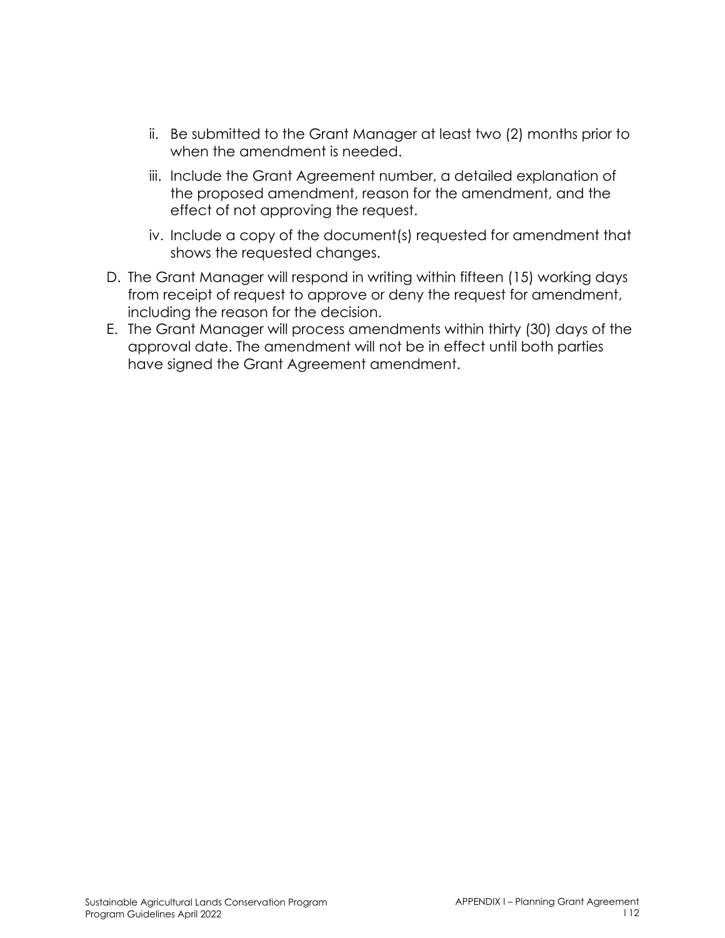- ii. Be submitted to the Grant Manager at least two (2) months prior to when the amendment is needed.
- iii. Include the Grant Agreement number, a detailed explanation of the proposed amendment, reason for the amendment, and the effect of not approving the request.
- iv. Include a copy of the document(s) requested for amendment that shows the requested changes.
- D. The Grant Manager will respond in writing within fifteen (15) working days from receipt of request to approve or deny the request for amendment, including the reason for the decision.
- E. The Grant Manager will process amendments within thirty (30) days of the approval date. The amendment will not be in effect until both parties have signed the Grant Agreement amendment.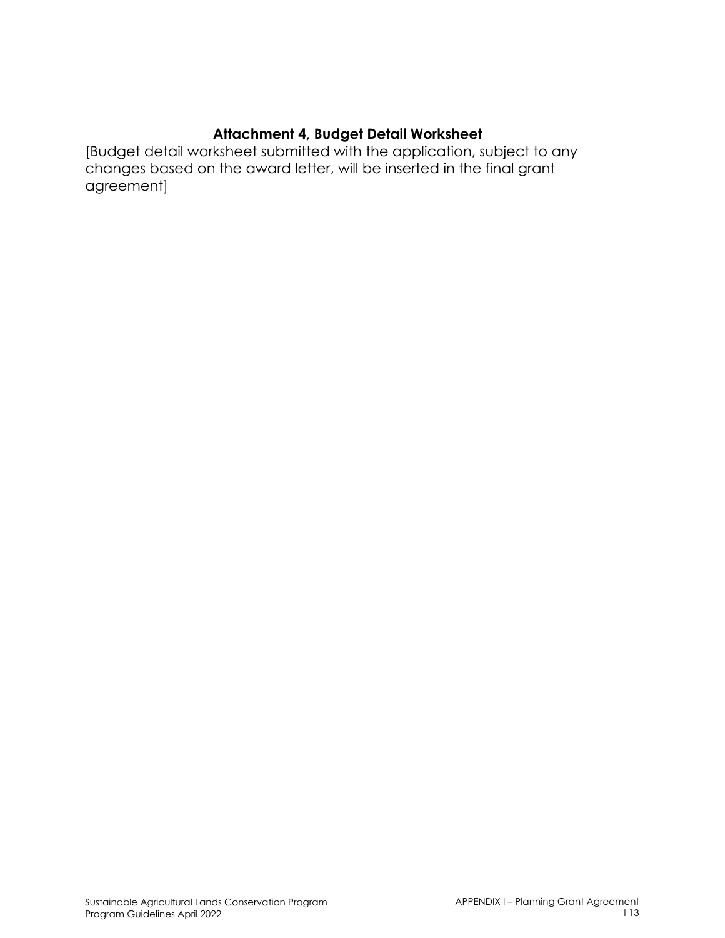### **Attachment 4, Budget Detail Worksheet**

[Budget detail worksheet submitted with the application, subject to any changes based on the award letter, will be inserted in the final grant agreement]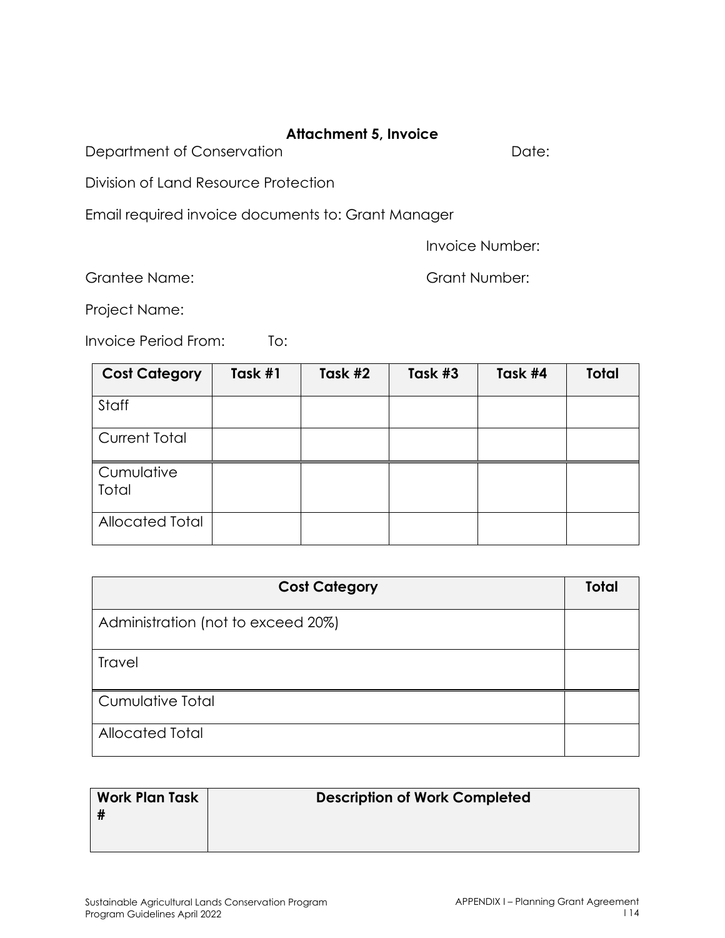### **Attachment 5, Invoice**

Department of Conservation **Department** of Conservation

Division of Land Resource Protection

Email required invoice documents to: Grant Manager

Invoice Number:

Grantee Name: Grant Number:

Project Name:

Invoice Period From: To:

| <b>Cost Category</b>   | Task #1 | Task #2 | Task #3 | Task #4 | <b>Total</b> |
|------------------------|---------|---------|---------|---------|--------------|
| Staff                  |         |         |         |         |              |
| <b>Current Total</b>   |         |         |         |         |              |
| Cumulative<br>Total    |         |         |         |         |              |
| <b>Allocated Total</b> |         |         |         |         |              |

| <b>Cost Category</b>               | <b>Total</b> |
|------------------------------------|--------------|
| Administration (not to exceed 20%) |              |
| <b>Travel</b>                      |              |
| Cumulative Total                   |              |
| <b>Allocated Total</b>             |              |

| <b>Work Plan Task</b><br># | <b>Description of Work Completed</b> |
|----------------------------|--------------------------------------|
|                            |                                      |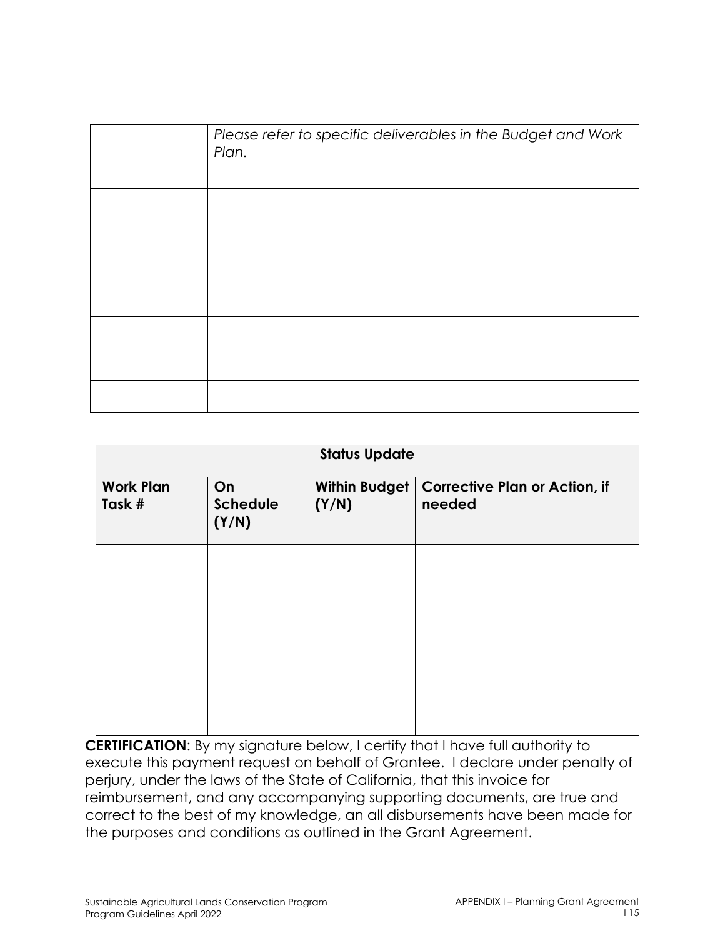| Please refer to specific deliverables in the Budget and Work<br>Plan. |
|-----------------------------------------------------------------------|
|                                                                       |
|                                                                       |
|                                                                       |
|                                                                       |

| <b>Status Update</b>       |                                |                        |                                                |
|----------------------------|--------------------------------|------------------------|------------------------------------------------|
| <b>Work Plan</b><br>Task # | On<br><b>Schedule</b><br>(Y/N) | Within Budget<br>(Y/N) | <b>Corrective Plan or Action, if</b><br>needed |
|                            |                                |                        |                                                |
|                            |                                |                        |                                                |
|                            |                                |                        |                                                |

**CERTIFICATION**: By my signature below, I certify that I have full authority to execute this payment request on behalf of Grantee. I declare under penalty of perjury, under the laws of the State of California, that this invoice for reimbursement, and any accompanying supporting documents, are true and correct to the best of my knowledge, an all disbursements have been made for the purposes and conditions as outlined in the Grant Agreement.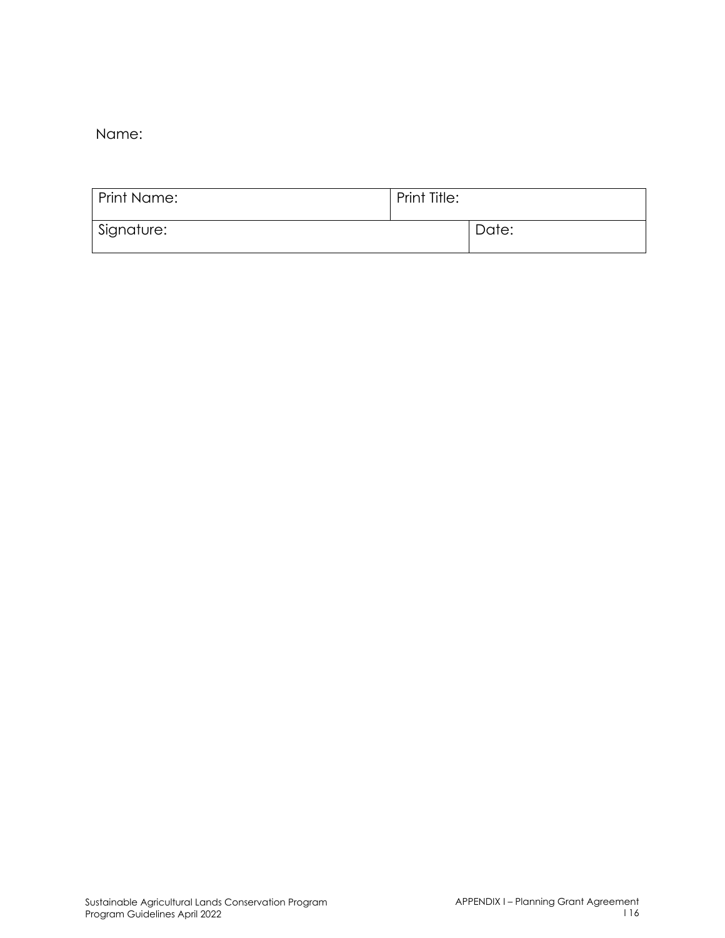Name:

| <b>Print Name:</b> | Print Title: |       |
|--------------------|--------------|-------|
| Signature:         |              | Date: |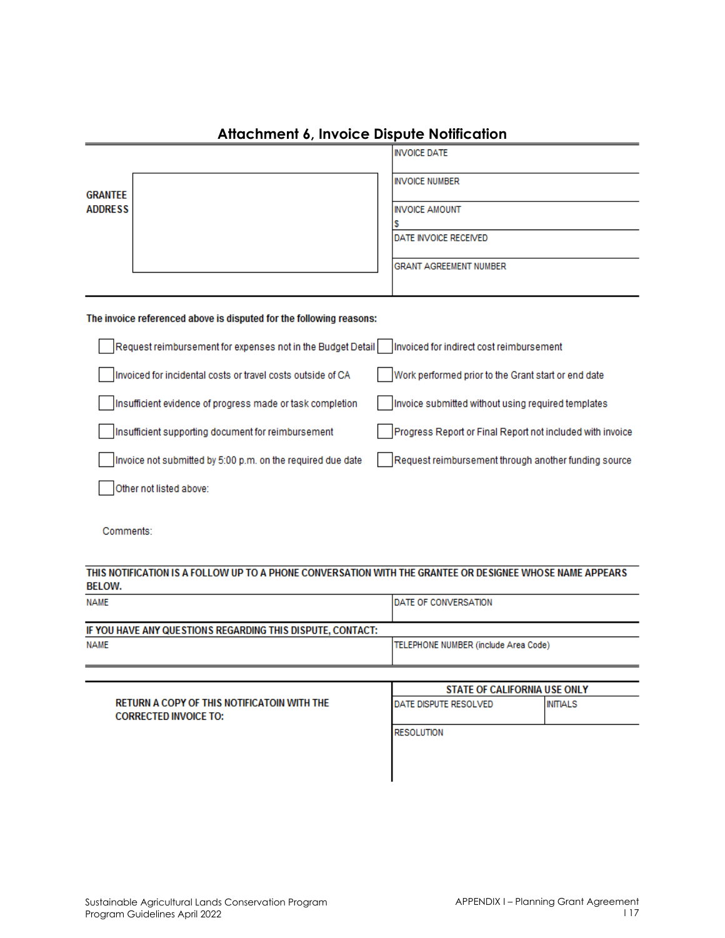|                                                                                                                           | <b>INVOICE DATE</b>                                       |  |
|---------------------------------------------------------------------------------------------------------------------------|-----------------------------------------------------------|--|
| <b>GRANTEE</b><br><b>ADDRESS</b>                                                                                          | <b>INVOICE NUMBER</b>                                     |  |
|                                                                                                                           | <b>INVOICE AMOUNT</b>                                     |  |
|                                                                                                                           | s<br>DATE INVOICE RECEIVED                                |  |
|                                                                                                                           | <b>GRANT AGREEMENT NUMBER</b>                             |  |
| The invoice referenced above is disputed for the following reasons:                                                       |                                                           |  |
| Request reimbursement for expenses not in the Budget Detail                                                               | Invoiced for indirect cost reimbursement                  |  |
| Invoiced for incidental costs or travel costs outside of CA                                                               | Work performed prior to the Grant start or end date       |  |
| Insufficient evidence of progress made or task completion                                                                 | Invoice submitted without using required templates        |  |
| Insufficient supporting document for reimbursement                                                                        | Progress Report or Final Report not included with invoice |  |
| Invoice not submitted by 5:00 p.m. on the required due date                                                               | Request reimbursement through another funding source      |  |
| Other not listed above:                                                                                                   |                                                           |  |
| Comments:                                                                                                                 |                                                           |  |
| THIS NOTIFICATION IS A FOLLOW UP TO A PHONE CONVERSATION WITH THE GRANTEE OR DESIGNEE WHOSE NAME APPEARS<br><b>BELOW.</b> |                                                           |  |
| <b>NAME</b>                                                                                                               | DATE OF CONVERSATION                                      |  |
| IF YOU HAVE ANY QUESTIONS REGARDING THIS DISPUTE, CONTACT:                                                                |                                                           |  |
| <b>NAME</b>                                                                                                               | TELEPHONE NUMBER (include Area Code)                      |  |
|                                                                                                                           | <b>STATE OF CALIFORNIA USE ONLY</b>                       |  |

## **Attachment 6, Invoice Dispute Notification**

RETURN A COPY OF THIS NOTIFICATOIN WITH THE **INITIALS** DATE DISPUTE RESOLVED **CORRECTED INVOICE TO: RESOLUTION**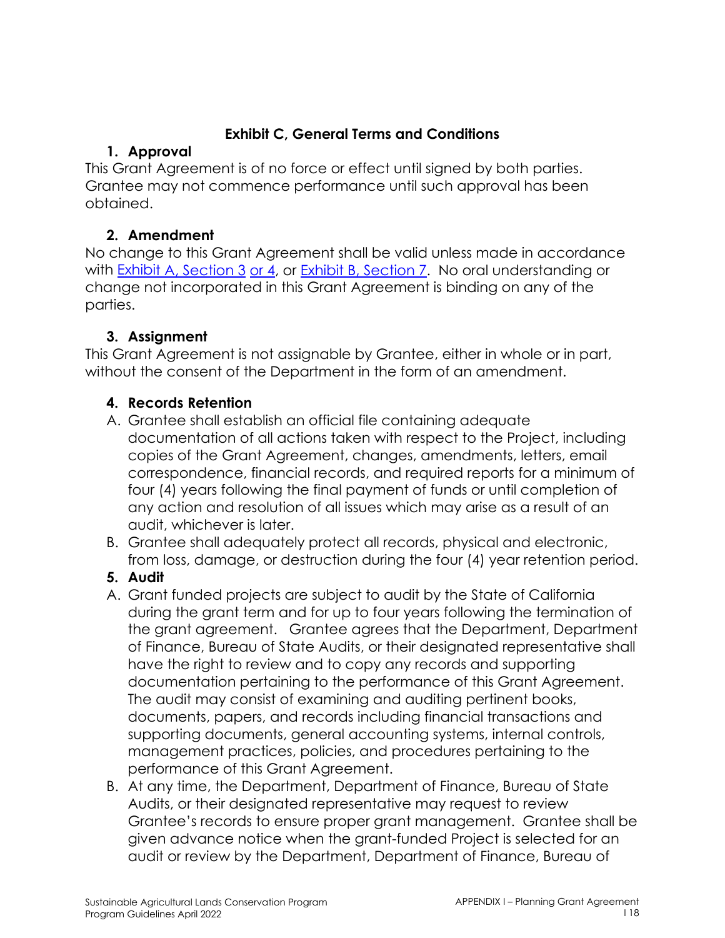## **Exhibit C, General Terms and Conditions**

## **1. Approval**

This Grant Agreement is of no force or effect until signed by both parties. Grantee may not commence performance until such approval has been obtained.

## **2. Amendment**

No change to this Grant Agreement shall be valid unless made in accordance with Exhibit A, Section 3 or 4, or Exhibit B, Section 7. No oral understanding or change not incorporated in this Grant Agreement is binding on any of the parties.

## **3. Assignment**

This Grant Agreement is not assignable by Grantee, either in whole or in part, without the consent of the Department in the form of an amendment.

## **4. Records Retention**

- A. Grantee shall establish an official file containing adequate documentation of all actions taken with respect to the Project, including copies of the Grant Agreement, changes, amendments, letters, email correspondence, financial records, and required reports for a minimum of four (4) years following the final payment of funds or until completion of any action and resolution of all issues which may arise as a result of an audit, whichever is later.
- B. Grantee shall adequately protect all records, physical and electronic, from loss, damage, or destruction during the four (4) year retention period.
- **5. Audit**
- A. Grant funded projects are subject to audit by the State of California during the grant term and for up to four years following the termination of the grant agreement. Grantee agrees that the Department, Department of Finance, Bureau of State Audits, or their designated representative shall have the right to review and to copy any records and supporting documentation pertaining to the performance of this Grant Agreement. The audit may consist of examining and auditing pertinent books, documents, papers, and records including financial transactions and supporting documents, general accounting systems, internal controls, management practices, policies, and procedures pertaining to the performance of this Grant Agreement.
- B. At any time, the Department, Department of Finance, Bureau of State Audits, or their designated representative may request to review Grantee's records to ensure proper grant management. Grantee shall be given advance notice when the grant-funded Project is selected for an audit or review by the Department, Department of Finance, Bureau of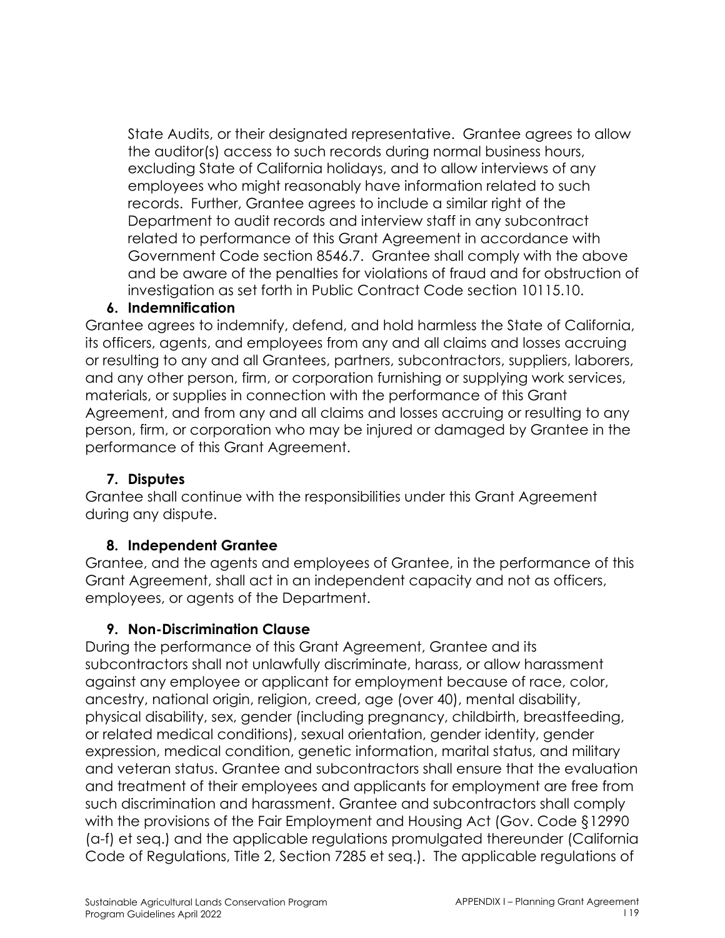State Audits, or their designated representative. Grantee agrees to allow the auditor(s) access to such records during normal business hours, excluding State of California holidays, and to allow interviews of any employees who might reasonably have information related to such records. Further, Grantee agrees to include a similar right of the Department to audit records and interview staff in any subcontract related to performance of this Grant Agreement in accordance with Government Code section 8546.7. Grantee shall comply with the above and be aware of the penalties for violations of fraud and for obstruction of investigation as set forth in Public Contract Code section 10115.10.

#### **6. Indemnification**

Grantee agrees to indemnify, defend, and hold harmless the State of California, its officers, agents, and employees from any and all claims and losses accruing or resulting to any and all Grantees, partners, subcontractors, suppliers, laborers, and any other person, firm, or corporation furnishing or supplying work services, materials, or supplies in connection with the performance of this Grant Agreement, and from any and all claims and losses accruing or resulting to any person, firm, or corporation who may be injured or damaged by Grantee in the performance of this Grant Agreement.

#### **7. Disputes**

Grantee shall continue with the responsibilities under this Grant Agreement during any dispute.

#### **8. Independent Grantee**

Grantee, and the agents and employees of Grantee, in the performance of this Grant Agreement, shall act in an independent capacity and not as officers, employees, or agents of the Department.

### **9. Non-Discrimination Clause**

During the performance of this Grant Agreement, Grantee and its subcontractors shall not unlawfully discriminate, harass, or allow harassment against any employee or applicant for employment because of race, color, ancestry, national origin, religion, creed, age (over 40), mental disability, physical disability, sex, gender (including pregnancy, childbirth, breastfeeding, or related medical conditions), sexual orientation, gender identity, gender expression, medical condition, genetic information, marital status, and military and veteran status. Grantee and subcontractors shall ensure that the evaluation and treatment of their employees and applicants for employment are free from such discrimination and harassment. Grantee and subcontractors shall comply with the provisions of the Fair Employment and Housing Act (Gov. Code §12990 (a-f) et seq.) and the applicable regulations promulgated thereunder (California Code of Regulations, Title 2, Section 7285 et seq.). The applicable regulations of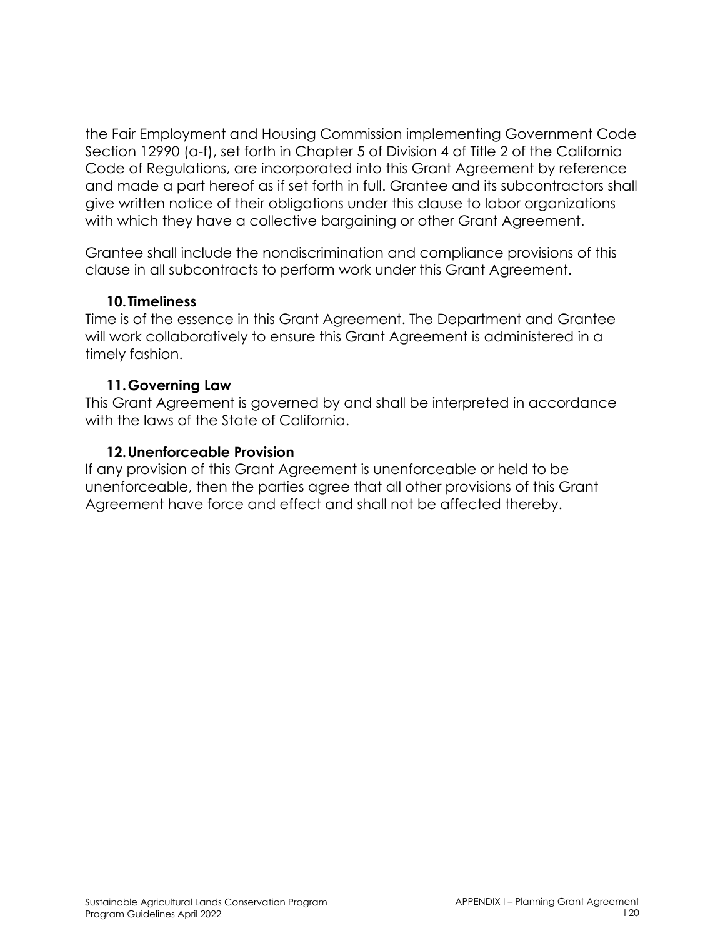the Fair Employment and Housing Commission implementing Government Code Section 12990 (a-f), set forth in Chapter 5 of Division 4 of Title 2 of the California Code of Regulations, are incorporated into this Grant Agreement by reference and made a part hereof as if set forth in full. Grantee and its subcontractors shall give written notice of their obligations under this clause to labor organizations with which they have a collective bargaining or other Grant Agreement.

Grantee shall include the nondiscrimination and compliance provisions of this clause in all subcontracts to perform work under this Grant Agreement.

#### **10.Timeliness**

Time is of the essence in this Grant Agreement. The Department and Grantee will work collaboratively to ensure this Grant Agreement is administered in a timely fashion.

### **11.Governing Law**

This Grant Agreement is governed by and shall be interpreted in accordance with the laws of the State of California.

### **12.Unenforceable Provision**

If any provision of this Grant Agreement is unenforceable or held to be unenforceable, then the parties agree that all other provisions of this Grant Agreement have force and effect and shall not be affected thereby.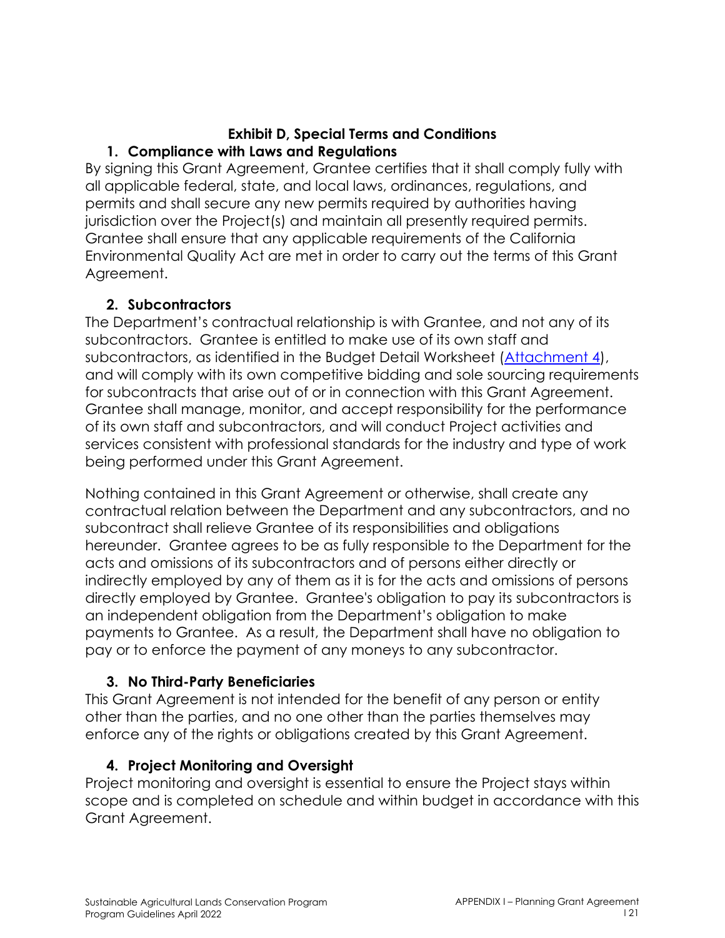#### **Exhibit D, Special Terms and Conditions 1. Compliance with Laws and Regulations**

By signing this Grant Agreement, Grantee certifies that it shall comply fully with all applicable federal, state, and local laws, ordinances, regulations, and permits and shall secure any new permits required by authorities having jurisdiction over the Project(s) and maintain all presently required permits. Grantee shall ensure that any applicable requirements of the California Environmental Quality Act are met in order to carry out the terms of this Grant Agreement.

### **2. Subcontractors**

The Department's contractual relationship is with Grantee, and not any of its subcontractors. Grantee is entitled to make use of its own staff and subcontractors, as identified in the Budget Detail Worksheet (Attachment 4), and will comply with its own competitive bidding and sole sourcing requirements for subcontracts that arise out of or in connection with this Grant Agreement. Grantee shall manage, monitor, and accept responsibility for the performance of its own staff and subcontractors, and will conduct Project activities and services consistent with professional standards for the industry and type of work being performed under this Grant Agreement.

Nothing contained in this Grant Agreement or otherwise, shall create any contractual relation between the Department and any subcontractors, and no subcontract shall relieve Grantee of its responsibilities and obligations hereunder. Grantee agrees to be as fully responsible to the Department for the acts and omissions of its subcontractors and of persons either directly or indirectly employed by any of them as it is for the acts and omissions of persons directly employed by Grantee. Grantee's obligation to pay its subcontractors is an independent obligation from the Department's obligation to make payments to Grantee. As a result, the Department shall have no obligation to pay or to enforce the payment of any moneys to any subcontractor.

### **3. No Third-Party Beneficiaries**

This Grant Agreement is not intended for the benefit of any person or entity other than the parties, and no one other than the parties themselves may enforce any of the rights or obligations created by this Grant Agreement.

### **4. Project Monitoring and Oversight**

Project monitoring and oversight is essential to ensure the Project stays within scope and is completed on schedule and within budget in accordance with this Grant Agreement.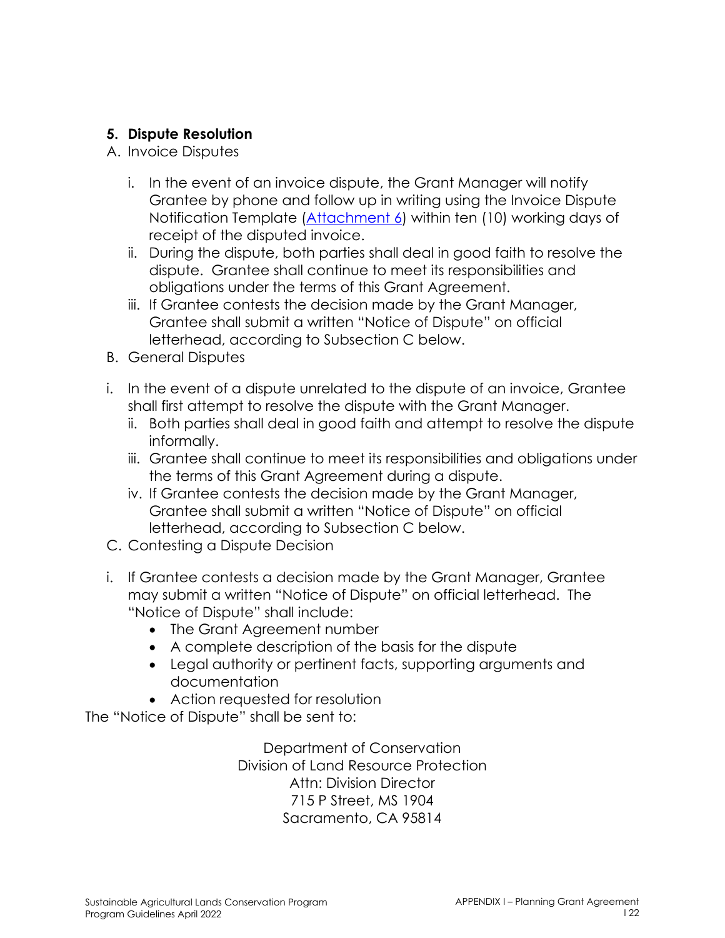### **5. Dispute Resolution**

- A. Invoice Disputes
	- i. In the event of an invoice dispute, the Grant Manager will notify Grantee by phone and follow up in writing using the Invoice Dispute Notification Template (Attachment 6) within ten (10) working days of receipt of the disputed invoice.
	- ii. During the dispute, both parties shall deal in good faith to resolve the dispute. Grantee shall continue to meet its responsibilities and obligations under the terms of this Grant Agreement.
	- iii. If Grantee contests the decision made by the Grant Manager, Grantee shall submit a written "Notice of Dispute" on official letterhead, according to Subsection C below.
- B. General Disputes
- i. In the event of a dispute unrelated to the dispute of an invoice, Grantee shall first attempt to resolve the dispute with the Grant Manager.
	- ii. Both parties shall deal in good faith and attempt to resolve the dispute informally.
	- iii. Grantee shall continue to meet its responsibilities and obligations under the terms of this Grant Agreement during a dispute.
	- iv. If Grantee contests the decision made by the Grant Manager, Grantee shall submit a written "Notice of Dispute" on official letterhead, according to Subsection C below.
- C. Contesting a Dispute Decision
- i. If Grantee contests a decision made by the Grant Manager, Grantee may submit a written "Notice of Dispute" on official letterhead. The "Notice of Dispute" shall include:
	- The Grant Agreement number
	- A complete description of the basis for the dispute
	- Legal authority or pertinent facts, supporting arguments and documentation
	- Action requested for resolution

The "Notice of Dispute" shall be sent to:

Department of Conservation Division of Land Resource Protection Attn: Division Director 715 P Street, MS 1904 Sacramento, CA 95814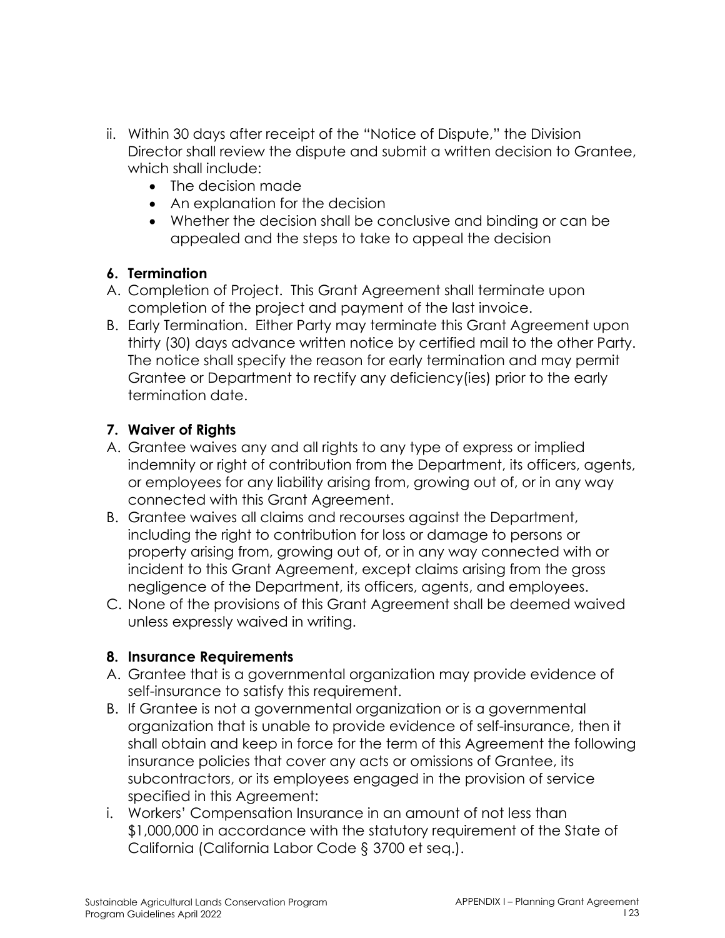- ii. Within 30 days after receipt of the "Notice of Dispute," the Division Director shall review the dispute and submit a written decision to Grantee, which shall include:
	- The decision made
	- An explanation for the decision
	- Whether the decision shall be conclusive and binding or can be appealed and the steps to take to appeal the decision

### **6. Termination**

- A. Completion of Project. This Grant Agreement shall terminate upon completion of the project and payment of the last invoice.
- B. Early Termination. Either Party may terminate this Grant Agreement upon thirty (30) days advance written notice by certified mail to the other Party. The notice shall specify the reason for early termination and may permit Grantee or Department to rectify any deficiency(ies) prior to the early termination date.

## **7. Waiver of Rights**

- A. Grantee waives any and all rights to any type of express or implied indemnity or right of contribution from the Department, its officers, agents, or employees for any liability arising from, growing out of, or in any way connected with this Grant Agreement.
- B. Grantee waives all claims and recourses against the Department, including the right to contribution for loss or damage to persons or property arising from, growing out of, or in any way connected with or incident to this Grant Agreement, except claims arising from the gross negligence of the Department, its officers, agents, and employees.
- C. None of the provisions of this Grant Agreement shall be deemed waived unless expressly waived in writing.

### **8. Insurance Requirements**

- A. Grantee that is a governmental organization may provide evidence of self-insurance to satisfy this requirement.
- B. If Grantee is not a governmental organization or is a governmental organization that is unable to provide evidence of self-insurance, then it shall obtain and keep in force for the term of this Agreement the following insurance policies that cover any acts or omissions of Grantee, its subcontractors, or its employees engaged in the provision of service specified in this Agreement:
- i. Workers' Compensation Insurance in an amount of not less than \$1,000,000 in accordance with the statutory requirement of the State of California (California Labor Code § 3700 et seq.).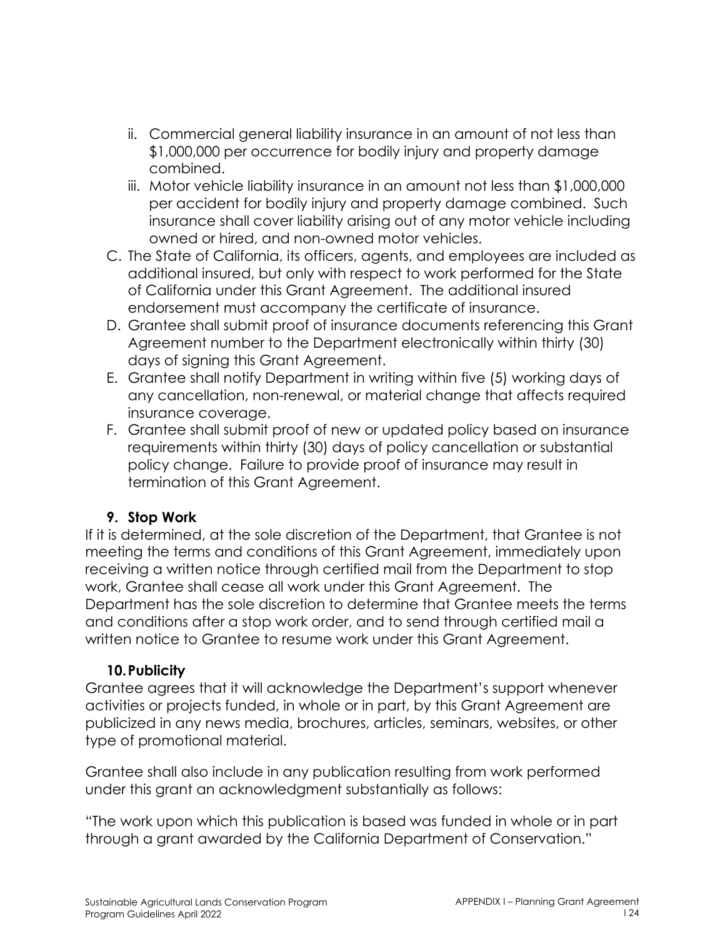- ii. Commercial general liability insurance in an amount of not less than \$1,000,000 per occurrence for bodily injury and property damage combined.
- iii. Motor vehicle liability insurance in an amount not less than \$1,000,000 per accident for bodily injury and property damage combined. Such insurance shall cover liability arising out of any motor vehicle including owned or hired, and non-owned motor vehicles.
- C. The State of California, its officers, agents, and employees are included as additional insured, but only with respect to work performed for the State of California under this Grant Agreement. The additional insured endorsement must accompany the certificate of insurance.
- D. Grantee shall submit proof of insurance documents referencing this Grant Agreement number to the Department electronically within thirty (30) days of signing this Grant Agreement.
- E. Grantee shall notify Department in writing within five (5) working days of any cancellation, non-renewal, or material change that affects required insurance coverage.
- F. Grantee shall submit proof of new or updated policy based on insurance requirements within thirty (30) days of policy cancellation or substantial policy change. Failure to provide proof of insurance may result in termination of this Grant Agreement.

### **9. Stop Work**

If it is determined, at the sole discretion of the Department, that Grantee is not meeting the terms and conditions of this Grant Agreement, immediately upon receiving a written notice through certified mail from the Department to stop work, Grantee shall cease all work under this Grant Agreement. The Department has the sole discretion to determine that Grantee meets the terms and conditions after a stop work order, and to send through certified mail a written notice to Grantee to resume work under this Grant Agreement.

## **10.Publicity**

Grantee agrees that it will acknowledge the Department's support whenever activities or projects funded, in whole or in part, by this Grant Agreement are publicized in any news media, brochures, articles, seminars, websites, or other type of promotional material.

Grantee shall also include in any publication resulting from work performed under this grant an acknowledgment substantially as follows:

"The work upon which this publication is based was funded in whole or in part through a grant awarded by the California Department of Conservation."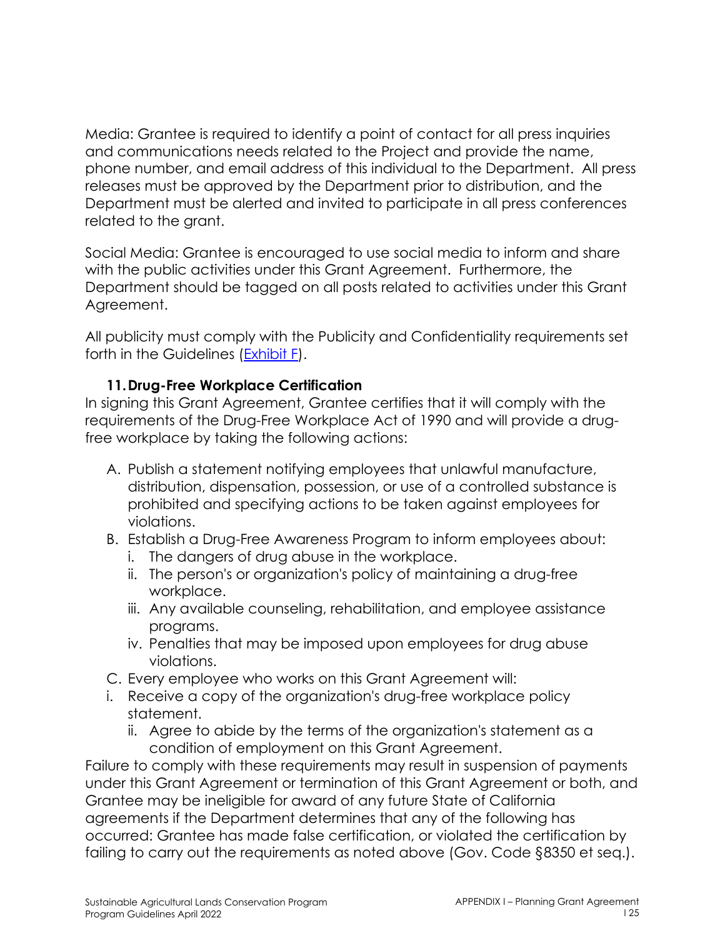Media: Grantee is required to identify a point of contact for all press inquiries and communications needs related to the Project and provide the name, phone number, and email address of this individual to the Department. All press releases must be approved by the Department prior to distribution, and the Department must be alerted and invited to participate in all press conferences related to the grant.

Social Media: Grantee is encouraged to use social media to inform and share with the public activities under this Grant Agreement. Furthermore, the Department should be tagged on all posts related to activities under this Grant Agreement.

All publicity must comply with the Publicity and Confidentiality requirements set forth in the Guidelines (Exhibit F).

### **11.Drug-Free Workplace Certification**

In signing this Grant Agreement, Grantee certifies that it will comply with the requirements of the Drug-Free Workplace Act of 1990 and will provide a drugfree workplace by taking the following actions:

- A. Publish a statement notifying employees that unlawful manufacture, distribution, dispensation, possession, or use of a controlled substance is prohibited and specifying actions to be taken against employees for violations.
- B. Establish a Drug-Free Awareness Program to inform employees about:
	- i. The dangers of drug abuse in the workplace.
	- ii. The person's or organization's policy of maintaining a drug-free workplace.
	- iii. Any available counseling, rehabilitation, and employee assistance programs.
	- iv. Penalties that may be imposed upon employees for drug abuse violations.
- C. Every employee who works on this Grant Agreement will:
- i. Receive a copy of the organization's drug-free workplace policy statement.
	- ii. Agree to abide by the terms of the organization's statement as a condition of employment on this Grant Agreement.

Failure to comply with these requirements may result in suspension of payments under this Grant Agreement or termination of this Grant Agreement or both, and Grantee may be ineligible for award of any future State of California agreements if the Department determines that any of the following has occurred: Grantee has made false certification, or violated the certification by failing to carry out the requirements as noted above (Gov. Code §8350 et seq.).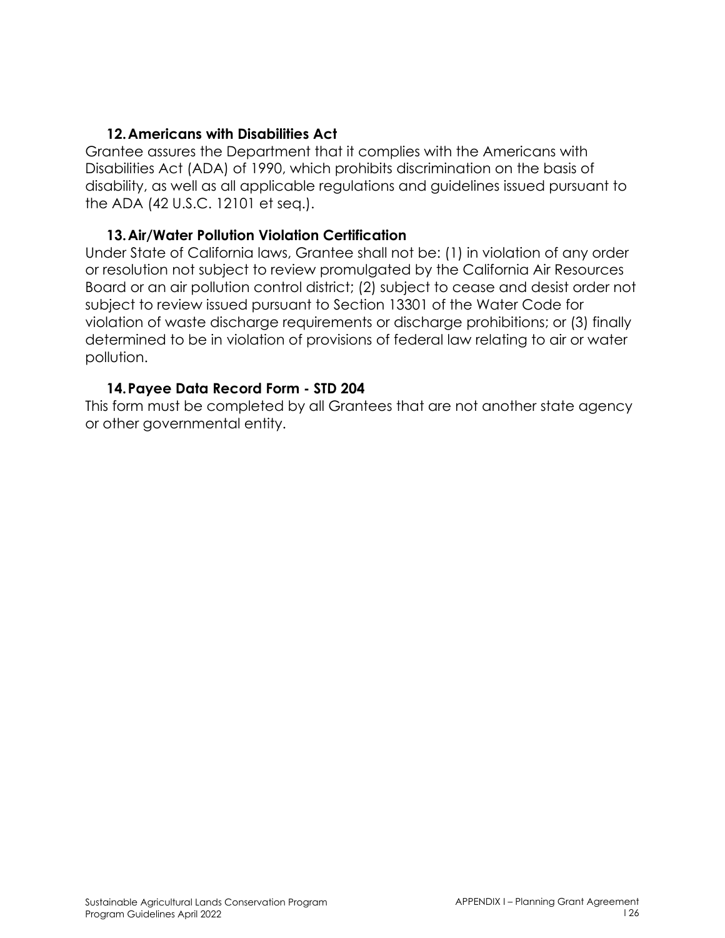#### **12.Americans with Disabilities Act**

Grantee assures the Department that it complies with the Americans with Disabilities Act (ADA) of 1990, which prohibits discrimination on the basis of disability, as well as all applicable regulations and guidelines issued pursuant to the ADA (42 U.S.C. 12101 et seq.).

#### **13.Air/Water Pollution Violation Certification**

Under State of California laws, Grantee shall not be: (1) in violation of any order or resolution not subject to review promulgated by the California Air Resources Board or an air pollution control district; (2) subject to cease and desist order not subject to review issued pursuant to Section 13301 of the Water Code for violation of waste discharge requirements or discharge prohibitions; or (3) finally determined to be in violation of provisions of federal law relating to air or water pollution.

### **14.Payee Data Record Form - STD 204**

This form must be completed by all Grantees that are not another state agency or other governmental entity.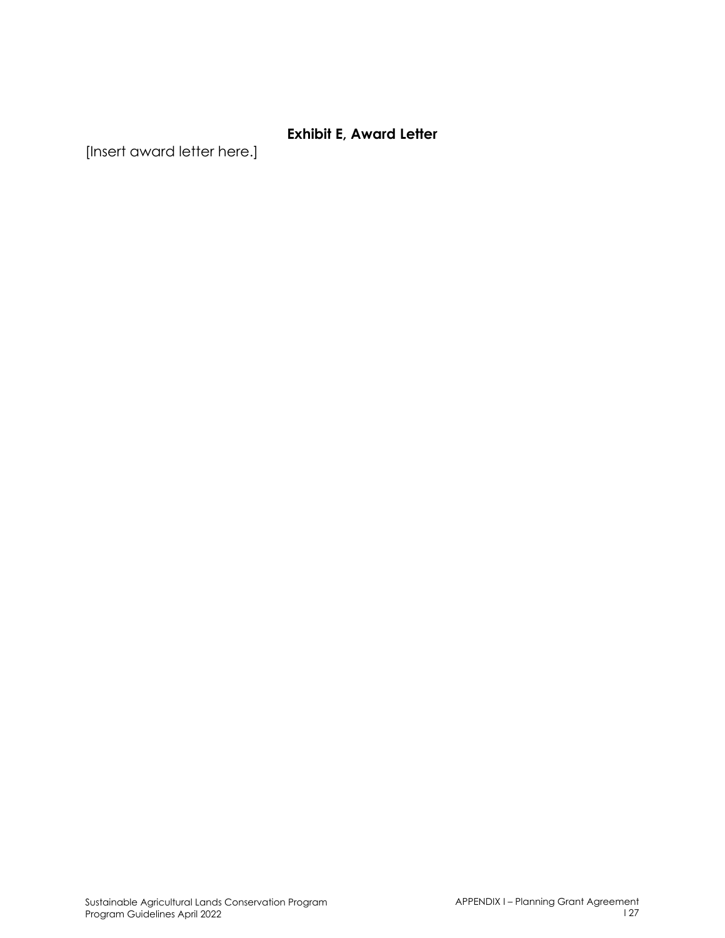### **Exhibit E, Award Letter**

[Insert award letter here.]